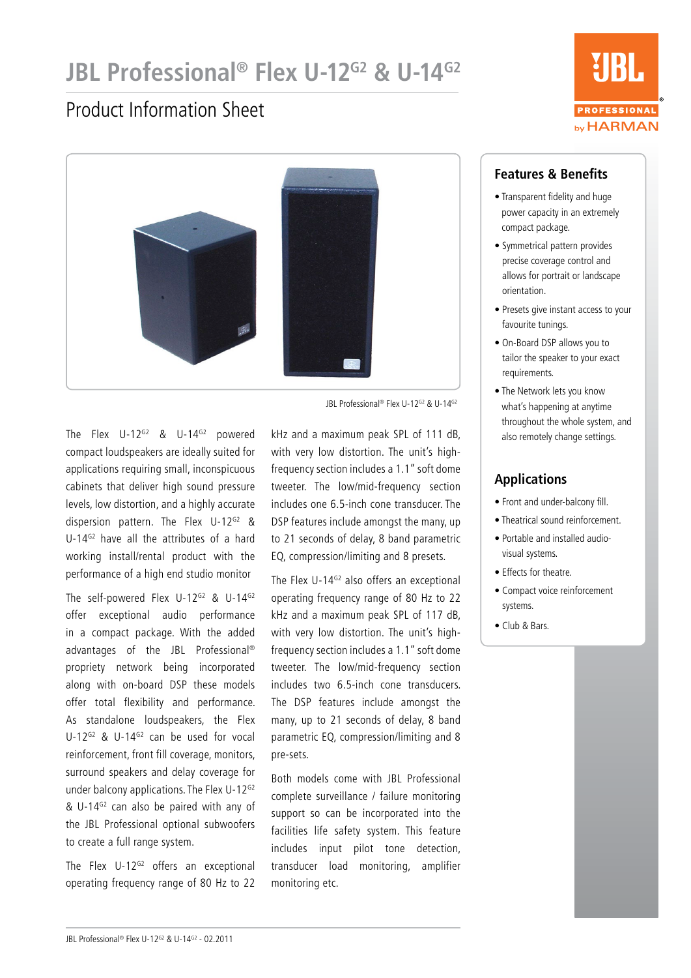# **JBL Professional<sup>®</sup> Flex U-12<sup>G2</sup> & U-14<sup>G2</sup>**

### Product Information Sheet



JBL Professional® Flex U-12G2 & U-14G2

The Flex U-12<sup>G2</sup> & U-14<sup>G2</sup> powered compact loudspeakers are ideally suited for applications requiring small, inconspicuous cabinets that deliver high sound pressure levels, low distortion, and a highly accurate dispersion pattern. The Flex U-12<sup>G2</sup> & U-14<sup>G2</sup> have all the attributes of a hard working install/rental product with the performance of a high end studio monitor

The self-powered Flex U-12<sup>G2</sup> & U-14<sup>G2</sup> offer exceptional audio performance in a compact package. With the added advantages of the JBL Professional® propriety network being incorporated along with on-board DSP these models offer total flexibility and performance. As standalone loudspeakers, the Flex U-12<sup>G2</sup> & U-14<sup>G2</sup> can be used for vocal reinforcement, front fill coverage, monitors, surround speakers and delay coverage for under balcony applications. The Flex U-12<sup>G2</sup> &  $U-14^{G2}$  can also be paired with any of the JBL Professional optional subwoofers to create a full range system.

The Flex  $U-12^{G2}$  offers an exceptional operating frequency range of 80 Hz to 22

kHz and a maximum peak SPL of 111 dB, with very low distortion. The unit's highfrequency section includes a 1.1" soft dome tweeter. The low/mid-frequency section includes one 6.5-inch cone transducer. The DSP features include amongst the many, up to 21 seconds of delay, 8 band parametric EQ, compression/limiting and 8 presets.

The Flex U-14 $G<sup>2</sup>$  also offers an exceptional operating frequency range of 80 Hz to 22 kHz and a maximum peak SPL of 117 dB, with very low distortion. The unit's highfrequency section includes a 1.1" soft dome tweeter. The low/mid-frequency section includes two 6.5-inch cone transducers. The DSP features include amongst the many, up to 21 seconds of delay, 8 band parametric EQ, compression/limiting and 8 pre-sets.

Both models come with JBL Professional complete surveillance / failure monitoring support so can be incorporated into the facilities life safety system. This feature includes input pilot tone detection, transducer load monitoring, amplifier monitoring etc.



#### **Features & Benefits**

- Transparent fidelity and huge power capacity in an extremely compact package.
- Symmetrical pattern provides precise coverage control and allows for portrait or landscape orientation.
- Presets give instant access to your favourite tunings.
- On-Board DSP allows you to tailor the speaker to your exact requirements.
- The Network lets you know what's happening at anytime throughout the whole system, and also remotely change settings.

#### **Applications**

- Front and under-balcony fill.
- Theatrical sound reinforcement.
- Portable and installed audiovisual systems.
- Effects for theatre.
- Compact voice reinforcement systems.
- Club & Bars.